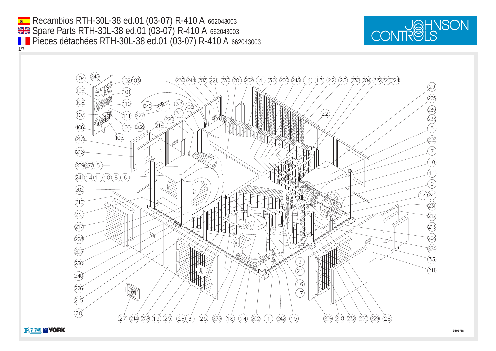Recambios RTH-30L-38 ed.01 (03-07) R-410 A 662043003 1/7 Spare Parts RTH-30L-38 ed.01 (03-07) R-410 A 662043003 Pieces détachées RTH-30L-38 ed.01 (03-07) R-410 A 662043003



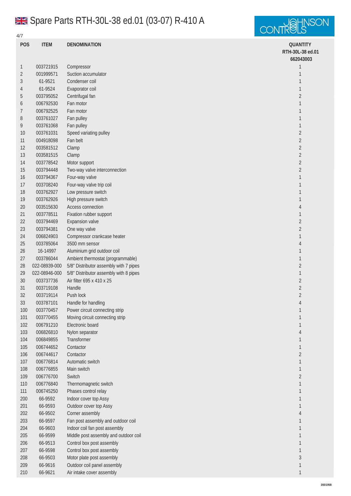## Spare Parts RTH-30L-38 ed.01 (03-07) R-410 A

4/7



**POS ITEM DENOMINATION QUANTITY RTH-30L-38 ed.01** 003721915 Compressor 1 001999571 Suction accumulator 1 61-9521 Condenser coil 1 61-9524 Evaporator coil 1 003795052 Centrifugal fan 2 6 006792530 Fan motor 1  $\sim$  1  $\sim$  1  $\sim$  1  $\sim$  1  $\sim$  1  $\sim$  1  $\sim$  1  $\sim$  1  $\sim$  1  $\sim$  1  $\sim$  1  $\sim$  1  $\sim$  1  $\sim$  1  $\sim$  1  $\sim$  1  $\sim$  1  $\sim$  1  $\sim$  1  $\sim$  1  $\sim$  1  $\sim$  1  $\sim$  1  $\sim$  1  $\sim$  1  $\sim$  1  $\sim$  1  $\sim$  1  $7 \qquad 006792525 \qquad$  Fan motor  $1$  003761027 Fan pulley  $1$  003761068 Fan pulley  $1$  003761031 Speed variating pulley 2 004918098 Fan belt  $2$  003581512 Clamp 2 003581515 Clamp 2 003778542 Motor support 2 003794448 Two-way valve interconnection 2 003794367 Four-way valve 1 17 003708240 Four-way valve trip coil 1 and 200 and 200 and 200 and 200 and 200 and 200 and 200 and 200 and 200 and 200 and 200 and 200 and 200 and 200 and 200 and 200 and 200 and 200 and 200 and 200 and 200 and 200 and 20 003762927 Low pressure switch 1 003762926 High pressure switch 1 003515630 Access connection 4 003778511 Fixation rubber support 1 003794469 Expansion valve 2 003794381 One way valve 2 006824903 Compressor crankcase heater 1 003785064 3500 mm sensor 4 16-14997 Aluminium grid outdoor coil 1 003786044 Ambient thermostat (programmable) 1 022-08939-000 5/8" Distributor assembly with 7 pipes 2 022-08946-000 5/8" Distributor assembly with 8 pipes 1 003737736 Air filter 695 x 410 x 25 2 003719108 Handle 2 003719114 Push lock  $2$  003787101 Handle for handling 4 100 003770457 Power circuit connecting strip 1 and 200 and 200 and 200 and 200 and 200 and 200 and 200 and 200 and 200 and 200 and 200 and 200 and 200 and 200 and 200 and 200 and 200 and 200 and 200 and 200 and 200 and 200 101 003770455 Moving circuit connecting strip 1 and 2008 1 and 2008 1 and 2008 1 and 2008 1 and 2008 1 and 2008 1 and 2008 1 and 2008 1 and 2008 1 and 2008 1 and 2008 1 and 2008 1 and 2008 1 and 2008 1 and 2008 1 and 2008 006791210 Electronic board 1 006826810 Nylon separator 4 006849855 Transformer 1 006744652 Contactor 1 006744617 Contactor 2 006776814 Automatic switch 1 006776855 Main switch 1 006776700 Switch 2 006776840 Thermomagnetic switch 1 006745250 Phases control relay 1 66-9592 Indoor cover top Assy 1 66-9593 Outdoor cover top Assy 1 66-9502 Corner assembly 4 203 66-9597 Fan post assembly and outdoor coil 1 and 200 February 200 February 200 February 200 February 200 Feb 66-9603 Indoor coil fan post assembly 1 66-9599 Middle post assembly and outdoor coil 1 66-9513 Control box post assembly 1 66-9598 Control box post assembly 1 66-9503 Motor plate post assembly 3 66-9616 Outdoor coil panel assembly 1 66-9621 Air intake cover assembly 1